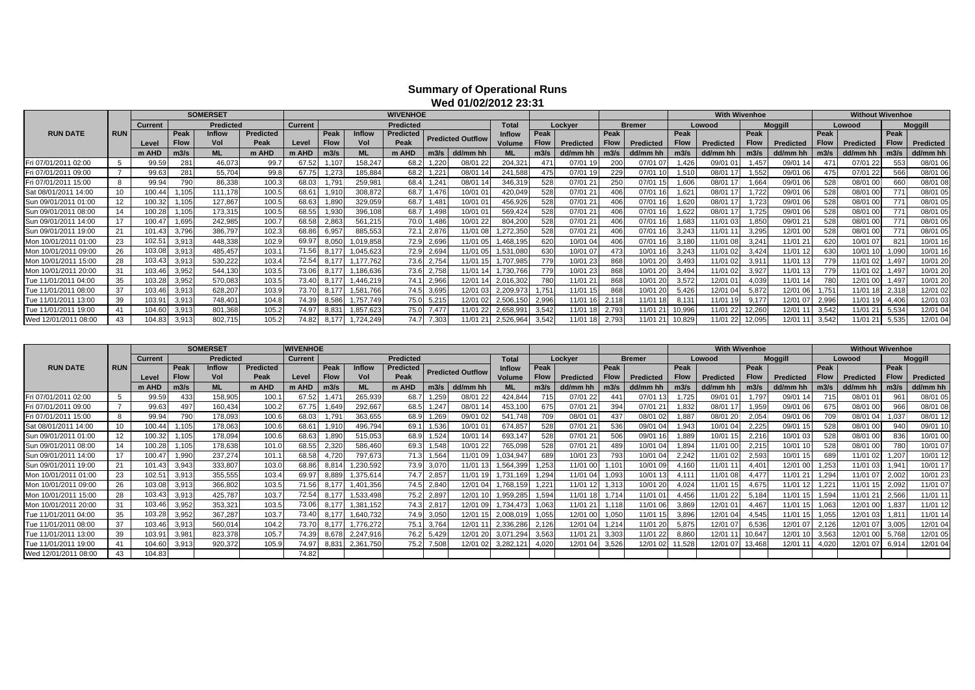## **Summary of Operational Runs Wed 01/02/2012 23:31**

|                      |            |                |             | <b>WIVENHOE</b>  |           |                |                    |               |                  | <b>With Wivenhoe</b> |                          |                 |             |                  |             |                  |             | <b>Without Wivenhoe</b> |             |                |             |           |             |                |
|----------------------|------------|----------------|-------------|------------------|-----------|----------------|--------------------|---------------|------------------|----------------------|--------------------------|-----------------|-------------|------------------|-------------|------------------|-------------|-------------------------|-------------|----------------|-------------|-----------|-------------|----------------|
|                      |            | <b>Current</b> |             | <b>Predicted</b> |           | <b>Current</b> |                    |               | <b>Predicted</b> |                      |                          | <b>Total</b>    |             | Lockyer          |             | <b>Bremer</b>    |             | Lowood                  |             | <b>Moggill</b> |             | Lowooc    |             | <b>Moggill</b> |
| <b>RUN DATE</b>      | <b>RUN</b> |                | Peak        | <b>Inflow</b>    | Predicted |                | Peak               | <b>Inflow</b> | <b>Predicted</b> |                      | <b>Predicted Outflow</b> | <b>Inflow</b>   | Peak        |                  | Peak        |                  | Peak        |                         | Peak        |                | Peak        |           | Peak        |                |
|                      |            | Level          | <b>Flow</b> | Vol              | Peak      | Level          | <b>Flow</b>        | Vol           | Peak             |                      |                          | Volume          | <b>Flow</b> | <b>Predicted</b> | <b>Flow</b> | <b>Predicted</b> | <b>Flow</b> | Predicted               | <b>Flow</b> | Predicted      | <b>Flow</b> | Predicted | <b>Flow</b> | Predicted      |
|                      |            | m AHD          | m3/s        | <b>ML</b>        | m AHD     | m AHD          | m3/s               | <b>ML</b>     | m AHD            | m3/s                 | dd/mm h                  | <b>ML</b>       | m3/s        | dd/mm hh         | m3/s        | dd/mm hh         | m3/s        | dd/mm hl                | m3/s        | dd/mm hh       | m3/s        | dd/mm hh  | m3/s        | dd/mm hh       |
| Fri 07/01/2011 02:00 |            | 99.59          | 281         | 46,073           | 99.7      | 67.52          | $.10$ <sup>-</sup> | 158,247       | 68.2             | 1,220                | 08/01 22                 | 204,321         | 471         | 07/01 19         | 200         | 07/01 07         | 1.426       | 09/01 01                | 1.457       | 09/01 14       |             | 07/01 22  | 553         | 08/01 06       |
| Fri 07/01/2011 09:00 |            | 99.63          | 281         | 55,704           | 99.8      | 67.7           | 1.273              | 185,884       | 68.2             | 1.221                | 08/01 1                  | 241,588         | 475         | 07/01 19         |             | 07/01 10         | 1.510       | 08/01 1                 | 1.552       | 09/01 06       |             | 07/01 22  | 566         | 08/01 06       |
| Fri 07/01/2011 15:00 |            | 99.94          | 790         | 86,338           | 100.3     | 68.03          | .79'               | 259,981       | 68.4             | 1,24                 | 08/01 1                  | 346,31          | 528         | 07/01 2          | 250         | 07/01            | 1,606       | 08/01 1                 | 1,664       | 09/01 06       | 528         | 08/01 00  | 660         | 08/01 08       |
| Sat 08/01/2011 14:00 |            | 100.44         | .105        | 111,178          | 100.5     | $68.6^{\circ}$ | 1,910              | 308,872       | 68.7             | 1,476                | 10/010                   | 420,049         | 528         | 07/01 21         |             | 07/01 16         | 1,62        | 08/01 17                | .722        | 09/01 06       | 528         | 08/01 00  | 771         | 08/01 05       |
| Sun 09/01/2011 01:00 |            | 100.32         | 1.105       | 127,867          | 100.5     | 68.63          | 1,890              | 329,059       | 68.7             | 1,481                | 10/01 0                  | 456,926         | 528         | 07/01 2          |             | 07/01            | 1.620       | 08/01 1                 | .723        | 09/01 06       | 528         | 08/01 00  | 771         | 08/01 05       |
| Sun 09/01/2011 08:00 |            | 100.28         | 1.105       | 173,315          | 100.5     | 68.55          | 1,930              | 396,108       | 68.7             | 1.498                | 10/01 0                  | 569,424         | 528         | 07/01 21         |             | 07/01 16         | 1.622       | 08/01 17                | .725        | 09/01 06       | 528         | 08/01 00  | 771         | 08/01 05       |
| Sun 09/01/2011 14:00 |            | 100.47         | .695        | 242,985          | 100.7     | 68.5           | 2,863              | 561,215       | 70.0             | 1.486                | 10/01 22                 | 804,20          | 528         | 07/01 2          |             | 07/01            | 1,683       | 11/01 03                | 1,850       | 09/01 21       |             | 08/01 00  | 771         | 08/01 05       |
| Sun 09/01/2011 19:00 |            | 101.43         | 3,796       | 386,797          | 102.3     | 68.86          | 6,957              | 885,553       | 72.1             | 2,876                | 11/01 08                 | ,272,350        | 528         | 07/01 21         |             | 07/01 16         | 3,243       | 11/01 11                | 3,295       | 12/01 00       | 528         | 08/01 00  | 771         | 08/01 05       |
| Mon 10/01/2011 01:00 | 23         | 102.51         | 3,913       | 448,338          | 102.9     | 69.9           | 8.050              | 019,858       | 72.9             | 2,696                | 11/01 05                 | 19 <sub>t</sub> | 620         | 10/01 04         |             | 07/01 16         | 3,180       | 11/01 08                | 3.241       | 11/01 21       | 620         | 10/01 07  | 821         | 10/01 16       |
| Mon 10/01/2011 09:00 | 26         | 103.08         | 3,913       | 485,457          | 103.1     | 71.56          | 8.177              | ,045,623      | 72.9             | 2,694                | 11/01 05                 | .531,080        | 630         | 10/01 07         |             | 10/01            | 3,243       | 11/01 02                | 3.424       | 11/01 12       | 630         | 10/01 10  | 1,090       | 10/01 16       |
| Mon 10/01/2011 15:00 | 28         | 103.43         | 3,913       | 530,222          | 103.4     | 72.54          | 8.177              | 177.762       | 73.6             | 2,754                | 11/01 1                  | ,707,985        | 779         | 10/01 23         | 86          | 10/01 20         | 3,493       | 11/01 02                | 3,91'       | 11/01 13       | 779         | 11/01 02  | 1,497       | 10/01 20       |
| Mon 10/01/2011 20:00 | 31         | 103.46         | 3,952       | 544,130          | 103.5     | 73.06          | 8,177              | 186,636       | 73.6             | 2,758                | 11/01 1                  | ,730,766        | <b>779</b>  | 10/01 23         | 868         | 10/01 20         | 3,494       | 11/01 02                | 3,927       | 11/01 13       | 779         | 11/01 02  | 1,497       | 10/01 20       |
| Tue 11/01/2011 04:00 | 35         | 103.28         | 3,952       | 570,083          | 103.5     | 73.40          | 8.177              | ,446,219      | 74.1             | 2,966                | 12/01 14                 |                 | 780         | 11/01 21         | 868         | 10/01 20         | 3,572       | 12/01 01                | 4.039       | 11/01 14       | 780         | 12/01 00  | 1.497       | 10/01 20       |
| Tue 11/01/2011 08:00 | 37         | 103.46         | 3,913       | 628,207          | 103.9     | 73.70          |                    | 581,766       | 74.5             | 3,695                | 12/01 03                 |                 | .75'        | 11/01 1          |             | 10/01 20         | 5,426       | 12/01 04                | 5,872       | 12/01 06       |             | 11/01 18  | 2,318       | 12/01 02       |
| Tue 11/01/2011 13:00 | 39         | 103.91         | 3,913       | 748,401          | 104.8     | 74.39          | 8.586              | ,757,749      | 75.0             | 5,215                | 12/01 02                 | 2,506.<br>15    | 2,996       | 11/01 16         | 2,118       | 11/01 18         | 8,131       | 11/01 19                | 9.177       | 12/01 07       | 2,996       | 11/01 19  | 4,406       | 12/01 03       |
| Tue 11/01/2011 19:00 |            | 104.60         | 3,913       | 801,368          | 105.2     | 74.97          | 8.83               | ,857,623      | 75.0             | 7.477                | 11/01 22                 | 2,658,99        | 3.542       | 11/01            | 2,793       | 11/012           | 10,996      | 11/01 22                | 12,260      | 12/01 1        | 3,542       | 11/01 21  | 5,534       | 12/01 04       |
| Wed 12/01/2011 08:00 |            | 104.83         | 3,913       | 802,715          | 105.2     | 74.82          | 8,177              | 1,724,249     | 74.7             | 7,303                | 11/01 21                 | 2,526,964       | 3,542       | 11/01 18         | 2,793       | 11/01 21         | 10,829      | 11/01 22                | 12,095      | 12/01 11       | 3,542       | 11/01 21  | 5,535       | 12/01 04       |

|                      | <b>SOMERSET</b><br><b>Predicted</b><br><b>Current</b> |        |             |               |                  |                |             |               |                  |       |                          |               |               |           |             |               | <b>With Wivenhoe</b> |                  |        |                  |              | <b>Without Wivenhoe</b> |             |                  |
|----------------------|-------------------------------------------------------|--------|-------------|---------------|------------------|----------------|-------------|---------------|------------------|-------|--------------------------|---------------|---------------|-----------|-------------|---------------|----------------------|------------------|--------|------------------|--------------|-------------------------|-------------|------------------|
|                      |                                                       |        |             |               |                  | <b>Current</b> |             |               | <b>Predicted</b> |       |                          | <b>Total</b>  |               | Lockver   |             | <b>Bremer</b> |                      | Lowood           |        | <b>Moggill</b>   |              | Lowood                  |             | <b>Moggill</b>   |
| <b>RUN DATE</b>      | <b>RUN</b>                                            |        | Peak        | <b>Inflow</b> | <b>Predicted</b> |                | Peak        | <b>Inflow</b> | <b>Predicted</b> |       | <b>Predicted Outflow</b> | <b>Inflow</b> | Peak          |           | Peak        |               | Peak                 |                  | Peak   |                  | Peak         |                         | Peak        |                  |
|                      |                                                       | Level  | <b>Flow</b> | Vol           | Peak             | Level          | <b>Flow</b> | Vol           | Peak             |       |                          | Volume        | <b>Flow</b>   | Predicted | <b>Flow</b> | Predicted     | <b>Flow</b>          | <b>Predicted</b> |        | <b>Predicted</b> | <b>Flow</b>  | Predicted               | <b>Flow</b> | <b>Predicted</b> |
|                      |                                                       | m AHD  | m3/s        | <b>ML</b>     | m AHD            | m AHD          | m3/s        | <b>ML</b>     | m AHD            | m3/s  | dd/mm hh                 | <b>ML</b>     | m3/s          | dd/mm hh  | m3/s        | dd/mm hh      | m3/s                 | dd/mm hr         | m3/s   | dd/mm hh         | m3/s         | dd/mm hh                | m3/s        | dd/mm hh         |
| Fri 07/01/2011 02:00 |                                                       | 99.59  | 433         | 158,90        | 100.1            | 67.52          | 1.47        | 265,939       | 68.              | ,259  | 08/01 22                 | 424,844       | 715           | 07/01 22  | 441         | 07/01         | .72                  | 09/01 0          | 1.797  | 09/01            | 715          | 08/01 0                 | 961         | 08/01 05         |
| Fri 07/01/2011 09:00 |                                                       | 99.63  | 497         | 160,434       | 100.2            | 67.75          | 1.649       | 292,667       | 68.              | .24   | 08/01                    | 453,10        | 675           | 07/01 2   | 394         | 07/01 21      | ,83                  | 08/01            | .959   | 09/01 06         | 675          | 08/01 00                | 966         | 08/01 08         |
| Fri 07/01/2011 15:00 |                                                       | 99.94  | 790         | 178,093       | 100.6            | 68.03          | .791        | 363,655       | 68.              | .269  | 09/01 02                 | 541.748       | 709           | 08/01 0   | 437         | 08/01 02      | .887                 | 08/01 20         | 2.054  | 09/01 06         | 709          | 08/01 04                | 1,037       | 08/01 12         |
| Sat 08/01/2011 14:00 |                                                       | 100.44 |             | 178,063       | 100.6            | 68.61          | 1.910       | 496.794       | 69.              | .536  | 10/010'                  | 674,857       | 528           | 07/01 2   | 536         | 09/01 04      | 1,94                 | 10/01 04         | 2,225  | 09/01            | 528          | 08/01 00                | 940         | 09/01 10         |
| Sun 09/01/2011 01:00 |                                                       | 100.32 |             | 178,094       | 100.6            | 68.63          | .890        | 515,053       | 68.              | .52   | 10/01                    | 693,147       | 528           | 07/01 2   | 506         | 09/01         | ,88                  | 10/01 1.         | 2.216  | 10/01 03         | 528          | 08/01 00                | 836         | 10/01 00         |
| Sun 09/01/2011 08:00 | 14                                                    | 100.28 | .10         | 178,638       | 101.0            | 68.55          | 2,320       | 586,460       | 69.              | 1,548 | 10/01 22                 | 765,098       | 528           | 07/012    | 489         | 10/01 04      | $.89 -$              | 11/01 00         | 2.215  | 10/01 10         | 528          | 08/01 00                | 780         | 10/01 07         |
| Sun 09/01/2011 14:00 | 17                                                    | 100.47 | 1.990       | 237.27        | 101.1            | 68.58          | 4.720       | 797.673       | 71.3             | 1.56  | 1/01 09                  | .034.94       | 689           | 10/01 23  | 793         | 10/01 04      | 2.24                 | 11/01 02         | 2.593  | 10/01 15         | 689          | 11/01 02                | 1.207       | 10/01 12         |
| Sun 09/01/2011 19:00 | 21                                                    | 101.4  | 3.94        | 333,807       | 103.0            | 68.86          | 8.814       | ,230,592      | 73.              | 3,07  | 11/01                    | .564.39       | .253          | 11/01 0   |             | 10/01         | 4.16                 | 11/01            | 4.40'  | 12/01 0          | 253          | 11/01 03                | 1,94'       | 10/01 17         |
| Mon 10/01/2011 01:00 | 23                                                    | 102.51 | 3.91        | 355,555       | 103.4            | 69.97          | 8.889       | ,375,614      | 74.7             | 2,857 | 11/01 1 <sup>c</sup>     |               | ,294          | 11/01 04  | 1,093       | 10/01         | 4.11                 | 1/01 08          | 4.477  | 1/01 21          | ,294         | 11/01 07                | 2,002       | 10/01 23         |
| Mon 10/01/2011 09:00 | 26                                                    | 103.08 | 3,913       | 366,802       | 103.5            | 71.56          | 8.17        | ,401,356      | 74.5             | 2,84  | 2/01 04                  | .768.15       | $.22^{\circ}$ | 11/01 1   | 1,313       | 10/01 20      | 4,02                 | 1/01 1           | 4.675  | 1/01             | $22^{\circ}$ | 11/01                   | 2,092       | 11/01 07         |
| Mon 10/01/2011 15:00 | 28                                                    | 103.4  | 3,91        | 425,787       | 103.7            | 72.54          |             | ,533,498      | 75.2             | 2,89  | 12/01                    | ,959,28       | .594          | 11/01 18  |             | 11/01 01      | 4.45                 | 1/01 22          | 5.184  | 1/01             | .594         | 11/01 21                | 2,566       | 11/011           |
| Mon 10/01/2011 20:00 | 31                                                    | 103.46 | 3.952       | 353,321       | 103.5            | 73.06          |             | .381.152      | 74.3             | 2,81  | 12/01 09                 | .734.47       | 1.063         | 11/01 2   |             | 11/01 06      | 3,86                 | 12/01 01         | 4.467  | 11/01 15         | .063         | 12/01 00                | 1,837       | 11/01 12         |
| Tue 11/01/2011 04:00 | 35                                                    | 103.2  | 3,952       | 367,287       | 103.7            | 73.40          | 8.17        | ,640,732      | 74.9             | 3,05  | 12/01                    | 2,008,01      | .055          | 12/01 00  | 1,050       | 11/01         | 3,89                 | 12/01 04         | 4.545  | 1/01             | 055          | 12/01 03                | 1,81        | 11/01 14         |
| Tue 11/01/2011 08:00 | 37                                                    | 103.4  | 3,91        | 560,014       | 104.2            | 73.70          | 8.17        | ,776,272      | 75.7             | 3.76  | 12/01                    | 2,336,28      | 2.126         | 12/01 04  |             | 11/01 20      | 5,87                 | 12/01 07         | 6.536  | 2/01 07          | 2.126        | 12/01 07                | 3,005       | 12/01 04         |
| Tue 11/01/2011 13:00 | 39                                                    | 103.91 | 3,981       | 823,378       | 105.7            | 74.39          | 8.678       | 2,247,916     | 76.              | 5.42  | 12/012                   | .29           | 3.563         | 11/012    | 3,303       | 11/01 22      | 8,86                 | 12/01            | 10,647 | 2/01 10          | 3.563        | 12/01                   | 5,768       | 12/01 05         |
| Tue 11/01/2011 19:00 |                                                       | 104.6  | 3,91        | 920,372       | 105.9            | 74.97          | 8.83        | 2,361,750     | 75.2             | 7,50  | 2/010                    | 3.282.        | .020          | 12/01     | 3,526       | 12/01         | .521                 | 12/01 0          | 13.468 | 2/01             | .020         | 12/01 0                 | 6,91        | 12/01 04         |
| Wed 12/01/2011 08:00 | 43                                                    | 104.83 |             |               |                  | 74.82          |             |               |                  |       |                          |               |               |           |             |               |                      |                  |        |                  |              |                         |             |                  |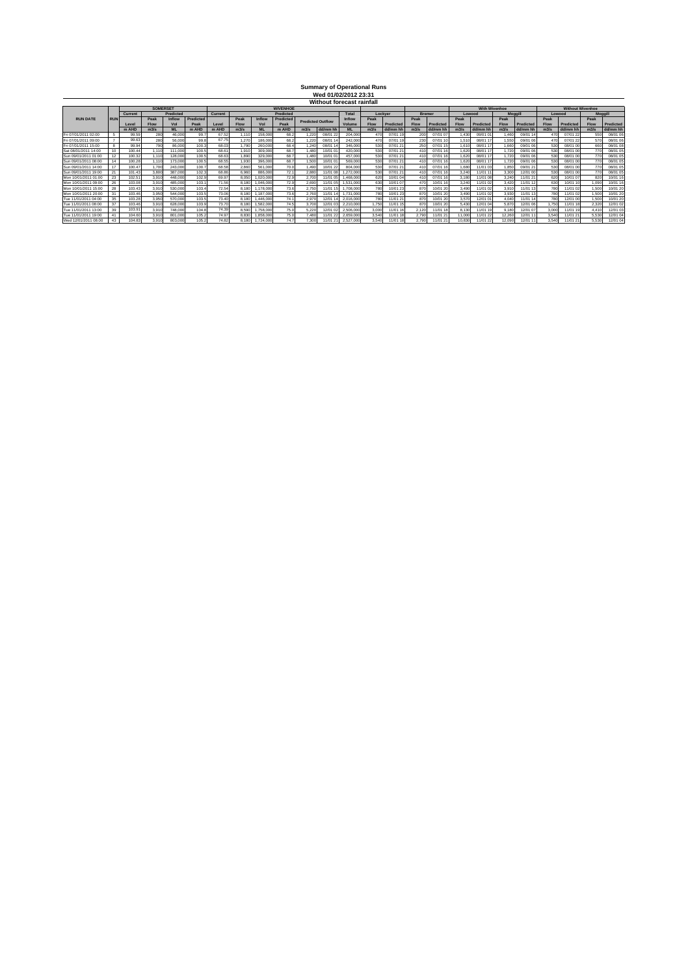## **Summary of Operational Runs Wed 01/02/2012 23:31 Without forecast rainfall**

|                      |             |         | <b>SOMERSET</b> |                  |           |         |       |           | <b>WIVENHOE</b> |                          |          |              |             |           |               |           |             | <b>With Wivenhoe</b> |             |           |       |           | <b>Without Wivenhoe</b> |           |
|----------------------|-------------|---------|-----------------|------------------|-----------|---------|-------|-----------|-----------------|--------------------------|----------|--------------|-------------|-----------|---------------|-----------|-------------|----------------------|-------------|-----------|-------|-----------|-------------------------|-----------|
|                      |             | Current |                 | <b>Predicted</b> |           | Current |       |           | Predicted       |                          |          | <b>Total</b> |             | Lockver   | <b>Bremer</b> |           |             | Lowood               |             | Moggill   |       | Lowood    | <b>Moggill</b>          |           |
| <b>RUN DATE</b>      | <b>IRUN</b> |         | Peak            | Inflow           | Predicted |         | Peak  | Inflow    | Predicted       | <b>Predicted Outflow</b> |          | Inflow       | Peak        |           | Peak          |           | Peak        |                      | Peak        |           | Peak  |           | Peak                    |           |
|                      |             | Level   | <b>Flow</b>     | <b>Vol</b>       | Peak      | Level   | Flow  | Vol       | Peak            |                          |          | Volume       | <b>Flow</b> | Predicted | <b>Flow</b>   | Predicted | <b>Flow</b> | Predicted            | <b>Flow</b> | Predicted | Flow  | Predicted | <b>Flow</b>             | Predicted |
|                      |             | m AHD   | m3/s            |                  | m AHD     | m AHD   | m3/s  |           | m AHD           | m3/s                     | dd/mm hh | MI.          | m3/s        | dd/mm l   | m3/s          | dd/mm h   | m3/s        | dd/mm hh             | m3/s        | dd/mm hh  | m3/s  | dd/mm hh  | m3/                     | dd/mm hh  |
| Fri 07/01/2011 02:00 |             | 99.59   | 280             | 46.00            | 99.       | 67.52   | 1.11  | 158,000   | 68.2            | .220                     | 08/01    | 204,000      |             | 07/01     |               | 07/01 07  | 1.43        | 09/01 0              | .460        | 09/01 1   | 470   | 07/01 22  | 550                     | 08/01 0   |
| Fri 07/01/2011 09:00 |             | 99.63   | 280             | 56.00            | 99.8      | 67.75   | 1.27  | 186.000   | 68.2            | 1.220                    | 08/01    | 242,000      |             | 07/01 1   | 230           | 07/01     | 1,51        | 08/01 17             | 1.550       | 09/01 06  | 470   | 07/01 22  | 570                     | 08/01 06  |
| Fri 07/01/2011 15:00 |             | 99.94   | 790             | 86.00            | 100.3     | 68.03   | 1.790 | 260.000   | 68.4            | 1.240                    | 08/01 1  | 346,000      | 530         | 07/01 21  | 250           | 07/01     | 1.61        | 08/01 17             | 1.660       | 09/01 06  | 530   | 08/01 00  | 660                     | 08/01 08  |
| Sat 08/01/2011 14:00 |             | 100.44  | 1.110           | 111,000          | 100.5     | 68.61   | 1.910 | 309,000   | 68.7            | 1.480                    | 10/01 0  | 420.000      | 530         | 07/01 21  |               | 07/01     | 1.620       | 08/01 17             | 1.720       | 09/01 06  | 530   | 08/01 00  | 770                     | 08/01 05  |
| Sun 09/01/2011 01:00 |             | 100.32  | 1.110           | 128.00           | 100.5     | 68.63   | 1.890 | 329,000   | 68.7            | 1.480                    | 10/01 C  | 457.000      | 530         | 07/01 21  | 41            | 07/01     | 1.620       | 08/01 17             | 1.720       | 09/01 06  | 530   | 08/01 00  | 770                     | 08/01 05  |
| Sun 09/01/2011 08:00 |             | 100.28  | 1.110           | 173.00           | 100.      | 68.55   | 1.930 | 396,000   | 68.7            | 1.500                    | 10/01 0  | 569,000      |             | 07/01 21  |               | 07/01     | 1.62        | 08/01 17             | 1.720       | 09/01 06  | 530   | 08/01 00  | 770                     | 08/01 05  |
| Sun 09/01/2011 14:00 |             | 100.47  | 1.700           | 243.00           | 100.3     | 68.58   | 2.860 | 561,000   | 70.0            | .490                     | 10/01 22 | 804.000      |             | 07/01 21  |               | 07/01     | 1.68        | 11/01 03             | 1.85        | 09/01 21  | 530   | 08/01 00  | 770                     | 08/01 05  |
| Sun 09/01/2011 19:00 |             | 101.43  | 3,800           | 387.00           | 102.3     | 68.86   | 6.96  | 886,000   | 72.1            | 2,880                    | 11/01 0  | .272.000     |             | 07/01 21  |               | 07/01     | 3.240       | 11/01 11             | 3.30        | 12/01 00  | 530   | 08/01 00  | 770                     | 08/01 05  |
| Mon 10/01/2011 01:00 | 23          | 102.5   | 3.910           | 448.00           | 102.5     | 69.97   | 8.050 | .020.000  | 72.9            | 2.700                    | 11/01    | 468,000      | 620         | 10/010    |               | 07/01     | 3.18        | 11/01 08             | 3.24        | 1/01 21   | 620   | 10/01 07  | 820                     | 10/01 16  |
| Mon 10/01/2011 09:00 |             | 103.08  | 3.910           | 485.00           | 103.7     | 71.56   | 8.180 | .046.000  | 72.9            | 2.690                    | 11/01    | .531.000     | 630         | 10/01 07  | 470           | 10/01     | 3.240       | 11/01 02             | 3.420       | 1/01 12   | 630   | 10/01 10  | .090                    | 10/01 16  |
| Mon 10/01/2011 15:00 |             | 103.43  | 3.910           | 530.00           | 103.4     | 72.54   | 8.180 | .178.000  | 73.6            | 2.750                    | 11/01 1  | .708.000     | 780         | 10/01 23  | <b>870</b>    | 10/01 20  | 3.490       | 11/01 02             | 3.91        | 11/01 13  | 780   | 11/01 02  | .500                    | 10/01 20  |
| Mon 10/01/2011 20:00 |             | 103.46  | 3,950           | 544.00           | 103.5     | 73.06   | 8,180 | 187,000   | 73.6            | 2.760                    | 11/01    | .731.000     | 780         | 10/01 23  | 870           | 10/01 20  | 3.490       | 11/01 02             | 3.93        | 11/01 13  | 780   | 11/01 02  | .500                    | 10/01 20  |
| Tue 11/01/2011 04:00 | 35          | 103.28  | 3,950           | 570,000          | 103.5     | 73.40   | 8.180 | .446.000  | 741             | 2.970                    | 12/01    | 2.016.000    | 780         | 11/01 21  | 870           | 10/01 20  | 3.570       | 12/01 01             | 4.040       | 11/01 14  | 780   | 12/01 00  | 1.500                   | 10/01 20  |
| Tue 11/01/2011 08:00 |             | 103.46  | 3.910           | 628.00           | 103.9     | 73.70   | 8,180 | 1.582.000 | 74.5            | 3.700                    | 12/01    | 2.210.000    | 1.750       | 11/01 15  | <b>870</b>    | 10/01 20  | 5.43        | 12/01 04             | 5.87        | 12/01 06  | 1.750 | 11/01 18  | 2.320                   | 12/01 02  |
| Tue 11/01/2011 13:00 | 39          | 103.91  | 3.910           | 748.00           | 104.8     | 74.39   | 8,590 | .758.000  | 75.0            | 5.220                    | 12/01    | 2,506,000    | 3,000       | 11/01 16  | 2.12          | 11/01 18  | 8.130       | 11/01 19             | 9.18        | 2/01 07   | 3,000 | 11/01 19  | 4.41                    | 12/01 03  |
| Tue 11/01/2011 19:00 |             | 104.60  | 3.910           | 801.00           | 105.2     | 74.97   | 8.830 | 1.858.000 | 75.0            | 7,480                    | 11/01    | 2.659.000    | 3.540       | 11/01 18  | 2.790         | 11/01 2   | 11,000      | 11/01 22             | 12.26       | 12/01 1   | 3,540 | 11/01 21  | 5.530                   | 12/01 04  |
| Wed 12/01/2011 08:00 |             | 104.83  | 3.910           | 803,00           | 105.2     | 74.82   | 8.180 | .724.000  | 74.7            | 7.300                    |          | 2.527.000    | 3.540       | 11/01 18  | 2.790         | 11/01 21  | 10.830      | 11/01 22             | 12.090      | 12/01 11  | 3,540 | 11/01 21  | 5.530                   | 12/01 04  |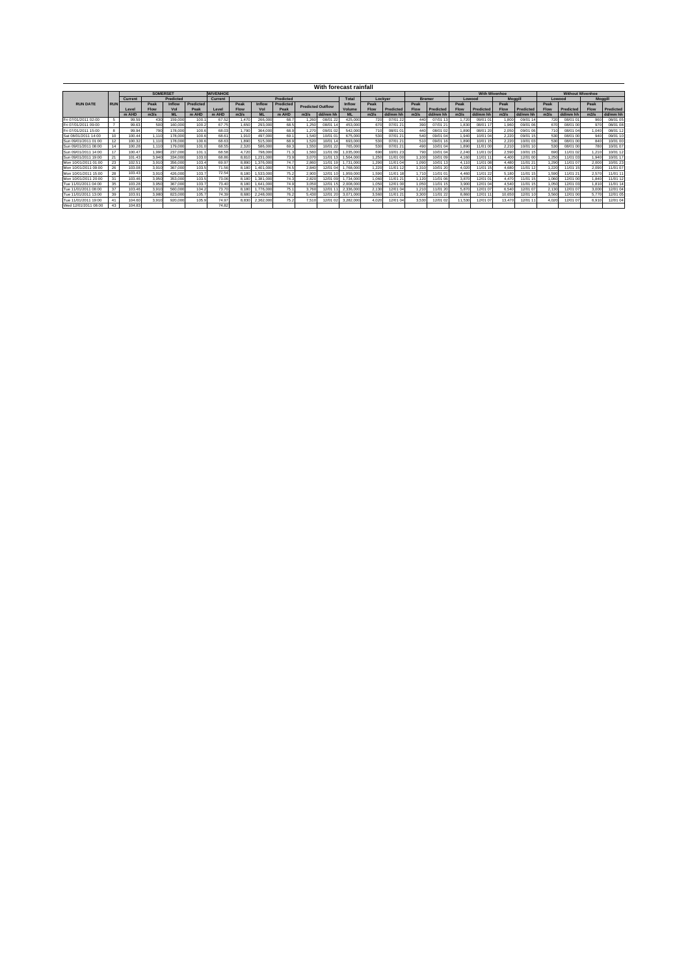|                      |            |                      |                 |         |           |                 |       |                  |           |                          |          | With forecast rainfall |             |           |               |           |             |                      |                |           |             |                         |                |           |
|----------------------|------------|----------------------|-----------------|---------|-----------|-----------------|-------|------------------|-----------|--------------------------|----------|------------------------|-------------|-----------|---------------|-----------|-------------|----------------------|----------------|-----------|-------------|-------------------------|----------------|-----------|
|                      |            |                      | <b>SOMERSET</b> |         |           | <b>WIVENHOE</b> |       |                  |           |                          |          |                        |             |           |               |           |             | <b>With Wivenhoe</b> |                |           |             | <b>Without Wivenhoe</b> |                |           |
|                      |            | Predicted<br>Current |                 |         | Current   |                 |       | <b>Predicted</b> |           |                          | Total    |                        | Lockver     |           | <b>Bremer</b> | Lowood    |             |                      | <b>Moggill</b> | Lowood    |             |                         | <b>Moggill</b> |           |
| <b>RUN DATE</b>      | <b>RUN</b> |                      | Peak            | Inflow  | Predicted |                 | Peak  | Inflow           | Predicted | <b>Predicted Outflow</b> |          | Inflow                 | Peak        |           | Peak          |           | Peak        |                      | Peak           |           | Peak        |                         | Peak           |           |
|                      |            | Level                | <b>Flow</b>     | Vol     | Peak      | Level           | Flow  | Vol              | Peak      |                          |          | Volume                 | <b>Flow</b> | Predicted | <b>Flow</b>   | Predicted | <b>Flow</b> | Predicted            | <b>Flow</b>    | Predicted | <b>Flow</b> | Predicted               | <b>Flow</b>    | Predicted |
|                      |            | m AHD                | m3/s            | MI.     | m AHD     | m AHD           | m3/s  | MI               | m AHD     | m3/s                     | dd/mm hh | MI.                    | m3/s        | dd/mm hh  | m3/s          | dd/mm hh  | m3/s        | dd/mm hh             | m3/s           | dd/mm hh  | m3/s        | dd/mm hh                | m3/s           | dd/mm hh  |
| Fri 07/01/2011 02:00 |            | 99.59                | 430             | 159,000 | 100.      | 67.52           | 1.47  | 266,000          | 68.7      | 1.260                    | 08/01 22 | 425,000                | 720         | 07/01 22  |               | 07/01 13  | 1.720       | 09/01 0              | 1.800          | 09/01 14  | 720         | 08/01 01                | 960            | 08/01 05  |
| Fri 07/01/2011 09:00 |            | 99.63                | 500             | 160.000 | 100.2     | 67.75           | 1.650 | 293,000          | 68.5      | 1.250                    | 08/01 14 | 453.000                | 670         | 07/01 21  | 390           | 07/01 21  | 1.830       | 08/01 17             | 1.960          | 09/01 06  | 670         | 08/01 00                | 970            | 08/01 08  |
| Fri 07/01/2011 15:00 |            | 99.94                | 790             | 178,000 | 100.6     | 68.03           | 1.790 | 364,000          | 68.9      | 1.270                    | 09/01 02 | 542.000                | 710         | 08/01 01  | 440           | 08/01 02  | 1.890       | 08/01 20             | 2.050          | 09/01 06  | 710         | 08/01 04                | 1.040          | 08/01 12  |
| Sat 08/01/2011 14:00 |            | 100.44               | 1.110           | 178,000 | 100.6     | 68.6            | 1.91  | 497.000          | 69.       | 1,540                    | 10/01 01 | 675,000                | 530         | 07/01 21  | 540           | 09/01 04  | 1.940       | 10/01 04             | 2.220          | 09/01 15  | 530         | 08/01 00                | 940            | 09/01 10  |
| Sun 09/01/2011 01:00 | 12         | 100.32               | 1.110           | 178,000 | 100.6     | 68.63           | 1.890 | 515,000          | 68.9      | 1.520                    | 10/01 14 | 693,000                | 530         | 07/01 21  | 510           | 09/01 16  | 1.890       | 10/01 15             | 2.220          | 10/01 03  | 530         | 08/01 00                | 840            | 10/01 00  |
| Sun 09/01/2011 08:00 |            | 100.28               | 1.110           | 179,000 | 101.0     | 68.55           | 2.320 | 586,000          | 69.3      | 1.550                    | 10/01 22 | 765,000                | 530         | 07/01 21  | 490           | 10/01 04  | 1,890       | 11/01 00             | 2.21           | 10/01 10  | 530         | 08/01 00                | 780            | 10/01 07  |
| Sun 09/01/2011 14:00 |            | 100.47               | 1,990           | 237,000 | 101.      | 68.58           | 4.720 | 798,000          | 71.3      | 1,560                    | 11/01 09 | 1.035.000              | 690         | 0/01 23   | 790           | 10/01 04  | 2.240       | 11/01 02             | 2.590          | 10/01 15  | 690         | 11/01 02                | 1.210          | 10/01 12  |
| Sun 09/01/2011 19:00 | 21         | 101.43               | 3,940           | 334.000 | 103.0     | 68.86           | 8.81  | 1.231.000        | 73.9      | 3.070                    | 11/01 13 | 1.564.000              | 1.250       | 11/01 00  | 1.100         | 10/01 09  | 4.160       | 11/01 11             | 4,400          | 12/01 00  | 1.250       | 11/01 03                | 1.940          | 10/01 17  |
| Mon 10/01/2011 01:00 | 23         | 102.51               | 3.910           | 356,000 | 103.4     | 69.97           | 8,890 | .376,000         | 74.7      | 2.860                    | 11/01 19 | 1.731.000              | 1.290       | 11/01 04  | 1.090         | 10/01 13  | 4.110       | 11/01 08             | 4.480          | 1/01 21   | 1.290       | 11/01 07                | 2.000          | 10/01 23  |
| Mon 10/01/2011 09:00 | 26         | 103.08               | 3.910           | 367,000 | 103.5     | 71.56           | 8.180 | 1.401.000        | 74.5      | 2,840                    | 12/01 04 | 1.768.000              | 1.220       | 11/01 12  | 1.310         | 10/01 20  | 4.020       | 11/01 15             | 4,680          | 11/01 12  | 1.220       | 11/01 15                | 2.090          | 11/01 07  |
| Mon 10/01/2011 15:00 | 28         | 103.43               | 3.910           | 426,000 | 103.7     | 72.54           | 8.180 | 1.533.000        | 75.2      | 2,900                    | 12/01 10 | 1.959.000              | 1.590       | 11/01 18  | 1.710         | 11/01 01  | 4.460       | 11/01 22             | 5.180          | 11/01 15  | 1.590       | 11/01 21                | 2.570          | 11/01 11  |
| Mon 10/01/2011 20:00 | 31         | 103.46               | 3,950           | 353,000 | 103.5     | 73.06           | 8.180 | 1.381.000        | 74.3      | 2.820                    | 12/01 09 | 1.734.000              | 1.060       | 11/01 21  | 1.120         | 11/01 06  | 3.870       | 12/01 01             | 4.470          | 11/01 15  | 1.060       | 12/01 00                | 1.840          | 11/01 12  |
| Tue 11/01/2011 04:00 | 35         | 103.28               | 3,950           | 367,000 | 103.7     | 73.40           | 8.180 | 1.641.000        | 74.9      | 3.050                    | 12/01 15 | 2.008.000              | 1.050       | 12/01 00  | 1.050         | 11/01 15  | 3,900       | 12/01 04             | 4.540          | 11/01 15  | 1.050       | 12/01 03                | 1.810          | 11/01 14  |
| Tue 11/01/2011 08:00 | 37         | 103.46               | 3.910           | 560,000 | 104.2     | 73.70           | 8.180 | .776.000         | 75.1      | 3,760                    | 12/01    | 2.336.000              | 2.130       | 12/01 04  | 1.210         | 11/01 20  | 5.870       | 12/01 07             | 6.54           | 12/01 07  | 2.130       | 12/01 07                | 3.000          | 12/01 04  |
| Tue 11/01/2011 13:00 | 39         | 103.91               | 3,980           | 823,000 | 105.7     | 74.39           | 8,680 | 2,248,000        | 76.2      | 5.430                    | 12/01 20 | 3.071.000              | 3,560       | 11/01 21  | 3,300         | 11/01 22  | 8,860       | 12/01 1              | 10.650         | 12/01 10  | 3,560       | 12/01 00                | 5.770          | 12/01 05  |
| Tue 11/01/2011 19:00 |            | 104.60               | 3.910           | 920,000 | 105.9     | 74.97           | 8.83  | 2,362,000        | 75.2      | 7.51                     | 12/01 02 | 3.282.000              | 4.020       | 12/01 04  | 3,530         | 12/01 02  | 11.530      | 12/01 07             | 13.47          | 12/01 11  | 4.020       | 12/01 07                | 6.910          | 12/01 04  |
| Wed 12/01/2011 08:00 | 43         | 104.83               |                 |         |           | 74.82           |       |                  |           |                          |          |                        |             |           |               |           |             |                      |                |           |             |                         |                |           |